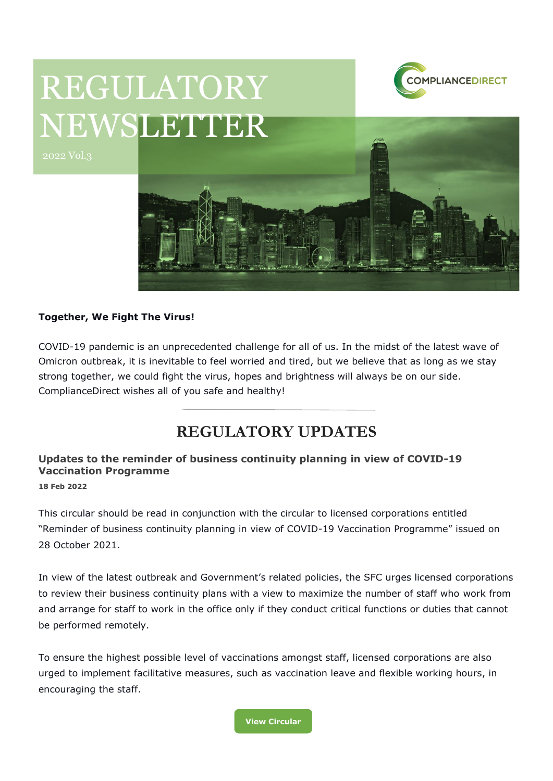

# REGULATORY NEWSLETTER



#### **Together, We Fight The Virus!**

COVID-19 pandemic is an unprecedented challenge for all of us. In the midst of the latest wave of Omicron outbreak, it is inevitable to feel worried and tired, but we believe that as long as we stay strong together, we could fight the virus, hopes and brightness will always be on our side. ComplianceDirect wishes all of you safe and healthy!

# **REGULATORY UPDATES**

# **Updates to the reminder of business continuity planning in view of COVID-19 Vaccination Programme**

**18 Feb 2022**

This circular should be read in conjunction with the circular to licensed corporations entitled "Reminder of business continuity planning in view of COVID-19 Vaccination Programme" issued on 28 October 2021.

In view of the latest outbreak and Government's related policies, the SFC urges licensed corporations to review their business continuity plans with a view to maximize the number of staff who work from and arrange for staff to work in the office only if they conduct critical functions or duties that cannot be performed remotely.

To ensure the highest possible level of vaccinations amongst staff, licensed corporations are also urged to implement facilitative measures, such as vaccination leave and flexible working hours, in encouraging the staff.

**[View Circular](https://apps.sfc.hk/edistributionWeb/gateway/EN/circular/intermediaries/supervision/doc?refNo=22EC12)**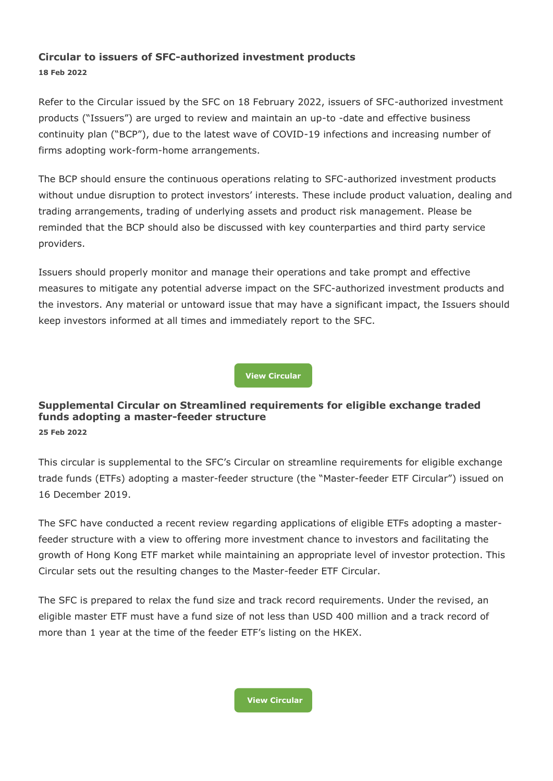## **Circular to issuers of SFC-authorized investment products 18 Feb 2022**

Refer to the Circular issued by the SFC on 18 February 2022, issuers of SFC-authorized investment products ("Issuers") are urged to review and maintain an up-to -date and effective business continuity plan ("BCP"), due to the latest wave of COVID-19 infections and increasing number of firms adopting work-form-home arrangements.

The BCP should ensure the continuous operations relating to SFC-authorized investment products without undue disruption to protect investors' interests. These include product valuation, dealing and trading arrangements, trading of underlying assets and product risk management. Please be reminded that the BCP should also be discussed with key counterparties and third party service providers.

Issuers should properly monitor and manage their operations and take prompt and effective measures to mitigate any potential adverse impact on the SFC-authorized investment products and the investors. Any material or untoward issue that may have a significant impact, the Issuers should keep investors informed at all times and immediately report to the SFC.

**[View Circular](https://apps.sfc.hk/edistributionWeb/gateway/EN/circular/doc?refNo=22EC13)**

#### **Supplemental Circular on Streamlined requirements for eligible exchange traded funds adopting a master-feeder structure 25 Feb 2022**

This circular is supplemental to the SFC's Circular on streamline requirements for eligible exchange trade funds (ETFs) adopting a master-feeder structure (the "Master-feeder ETF Circular") issued on 16 December 2019.

The SFC have conducted a recent review regarding applications of eligible ETFs adopting a masterfeeder structure with a view to offering more investment chance to investors and facilitating the growth of Hong Kong ETF market while maintaining an appropriate level of investor protection. This Circular sets out the resulting changes to the Master-feeder ETF Circular.

The SFC is prepared to relax the fund size and track record requirements. Under the revised, an eligible master ETF must have a fund size of not less than USD 400 million and a track record of more than 1 year at the time of the feeder ETF's listing on the HKEX.

**[View Circular](https://apps.sfc.hk/edistributionWeb/gateway/EN/circular/doc?refNo=22EC16)**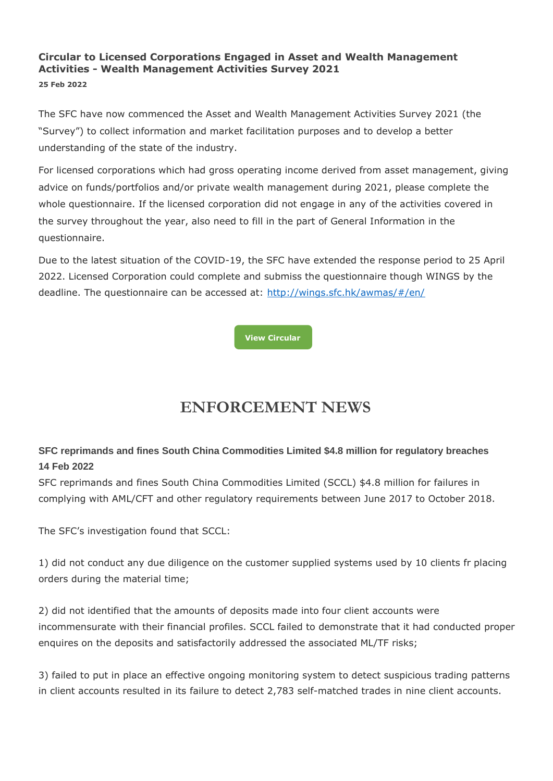# **Circular to Licensed Corporations Engaged in Asset and Wealth Management Activities - Wealth Management Activities Survey 2021**

**25 Feb 2022**

The SFC have now commenced the Asset and Wealth Management Activities Survey 2021 (the "Survey") to collect information and market facilitation purposes and to develop a better understanding of the state of the industry.

For licensed corporations which had gross operating income derived from asset management, giving advice on funds/portfolios and/or private wealth management during 2021, please complete the whole questionnaire. If the licensed corporation did not engage in any of the activities covered in the survey throughout the year, also need to fill in the part of General Information in the questionnaire.

Due to the latest situation of the COVID-19, the SFC have extended the response period to 25 April 2022. Licensed Corporation could complete and submiss the questionnaire though WINGS by the deadline. The questionnaire can be accessed at: [http://wings.sfc.hk/awmas/#/en/](https://wings.sfc.hk/awmas/#/en/)



# **ENFORCEMENT NEWS**

# **SFC reprimands and fines South China Commodities Limited \$4.8 million for regulatory breaches 14 Feb 2022**

SFC reprimands and fines South China Commodities Limited (SCCL) \$4.8 million for failures in complying with AML/CFT and other regulatory requirements between June 2017 to October 2018.

The SFC's investigation found that SCCL:

1) did not conduct any due diligence on the customer supplied systems used by 10 clients fr placing orders during the material time;

2) did not identified that the amounts of deposits made into four client accounts were incommensurate with their financial profiles. SCCL failed to demonstrate that it had conducted proper enquires on the deposits and satisfactorily addressed the associated ML/TF risks;

3) failed to put in place an effective ongoing monitoring system to detect suspicious trading patterns in client accounts resulted in its failure to detect 2,783 self-matched trades in nine client accounts.